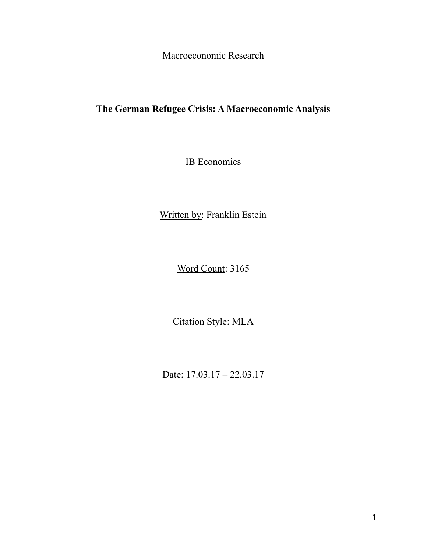Macroeconomic Research

## **The German Refugee Crisis: A Macroeconomic Analysis**

IB Economics

Written by: Franklin Estein

Word Count: 3165

Citation Style: MLA

Date: 17.03.17 - 22.03.17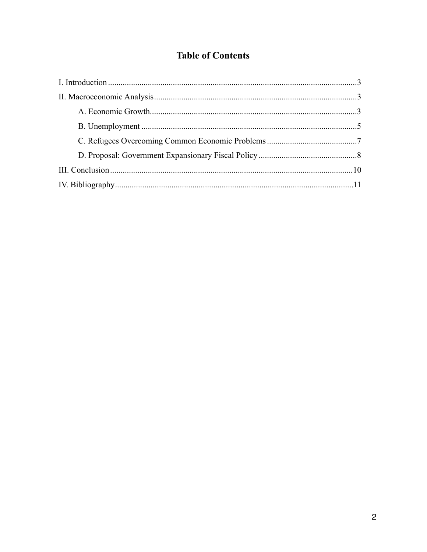# **Table of Contents**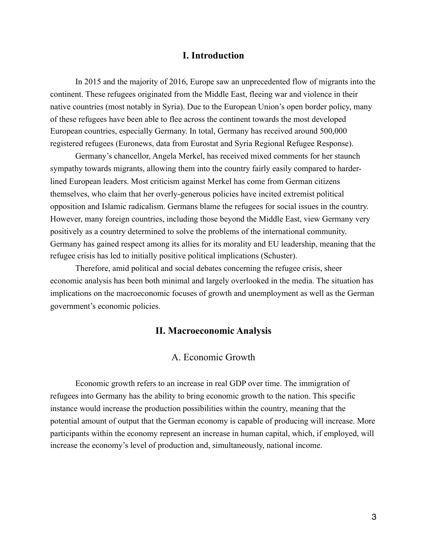#### <span id="page-2-0"></span>**I. Introduction**

 In 2015 and the majority of 2016, Europe saw an unprecedented flow of migrants into the continent. These refugees originated from the Middle East, fleeing war and violence in their native countries (most notably in Syria). Due to the European Union's open border policy, many of these refugees have been able to flee across the continent towards the most developed European countries, especially Germany. In total, Germany has received around 500,000 registered refugees (Euronews, data from Eurostat and Syria Regional Refugee Response).

 Germany's chancellor, Angela Merkel, has received mixed comments for her staunch sympathy towards migrants, allowing them into the country fairly easily compared to harderlined European leaders. Most criticism against Merkel has come from German citizens themselves, who claim that her overly-generous policies have incited extremist political opposition and Islamic radicalism. Germans blame the refugees for social issues in the country. However, many foreign countries, including those beyond the Middle East, view Germany very positively as a country determined to solve the problems of the international community. Germany has gained respect among its allies for its morality and EU leadership, meaning that the refugee crisis has led to initially positive political implications (Schuster).

 Therefore, amid political and social debates concerning the refugee crisis, sheer economic analysis has been both minimal and largely overlooked in the media. The situation has implications on the macroeconomic focuses of growth and unemployment as well as the German government's economic policies.

## <span id="page-2-1"></span>**II. Macroeconomic Analysis**

### <span id="page-2-2"></span>A. Economic Growth

 Economic growth refers to an increase in real GDP over time. The immigration of refugees into Germany has the ability to bring economic growth to the nation. This specific instance would increase the production possibilities within the country, meaning that the potential amount of output that the German economy is capable of producing will increase. More participants within the economy represent an increase in human capital, which, if employed, will increase the economy's level of production and, simultaneously, national income.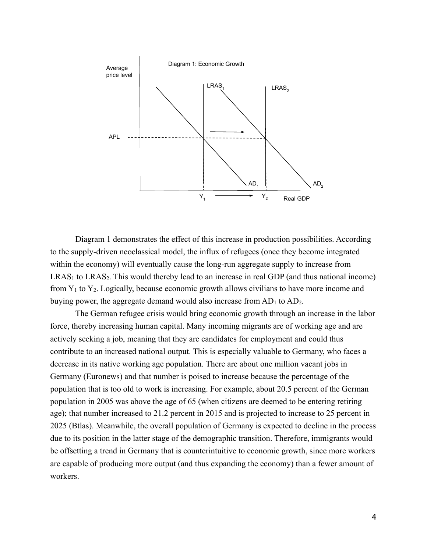

 Diagram 1 demonstrates the effect of this increase in production possibilities. According to the supply-driven neoclassical model, the influx of refugees (once they become integrated within the economy) will eventually cause the long-run aggregate supply to increase from  $LRAS<sub>1</sub>$  to  $LRAS<sub>2</sub>$ . This would thereby lead to an increase in real GDP (and thus national income) from  $Y_1$  to  $Y_2$ . Logically, because economic growth allows civilians to have more income and buying power, the aggregate demand would also increase from  $AD_1$  to  $AD_2$ .

 The German refugee crisis would bring economic growth through an increase in the labor force, thereby increasing human capital. Many incoming migrants are of working age and are actively seeking a job, meaning that they are candidates for employment and could thus contribute to an increased national output. This is especially valuable to Germany, who faces a decrease in its native working age population. There are about one million vacant jobs in Germany (Euronews) and that number is poised to increase because the percentage of the population that is too old to work is increasing. For example, about 20.5 percent of the German population in 2005 was above the age of 65 (when citizens are deemed to be entering retiring age); that number increased to 21.2 percent in 2015 and is projected to increase to 25 percent in 2025 (Btlas). Meanwhile, the overall population of Germany is expected to decline in the process due to its position in the latter stage of the demographic transition. Therefore, immigrants would be offsetting a trend in Germany that is counterintuitive to economic growth, since more workers are capable of producing more output (and thus expanding the economy) than a fewer amount of workers.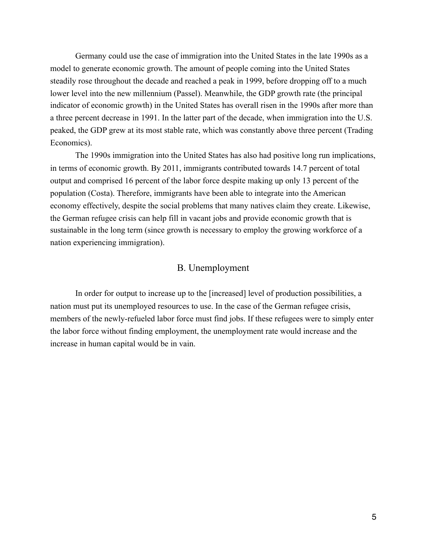Germany could use the case of immigration into the United States in the late 1990s as a model to generate economic growth. The amount of people coming into the United States steadily rose throughout the decade and reached a peak in 1999, before dropping off to a much lower level into the new millennium (Passel). Meanwhile, the GDP growth rate (the principal indicator of economic growth) in the United States has overall risen in the 1990s after more than a three percent decrease in 1991. In the latter part of the decade, when immigration into the U.S. peaked, the GDP grew at its most stable rate, which was constantly above three percent (Trading Economics).

 The 1990s immigration into the United States has also had positive long run implications, in terms of economic growth. By 2011, immigrants contributed towards 14.7 percent of total output and comprised 16 percent of the labor force despite making up only 13 percent of the population (Costa). Therefore, immigrants have been able to integrate into the American economy effectively, despite the social problems that many natives claim they create. Likewise, the German refugee crisis can help fill in vacant jobs and provide economic growth that is sustainable in the long term (since growth is necessary to employ the growing workforce of a nation experiencing immigration).

#### <span id="page-4-0"></span>B. Unemployment

In order for output to increase up to the [increased] level of production possibilities, a nation must put its unemployed resources to use. In the case of the German refugee crisis, members of the newly-refueled labor force must find jobs. If these refugees were to simply enter the labor force without finding employment, the unemployment rate would increase and the increase in human capital would be in vain.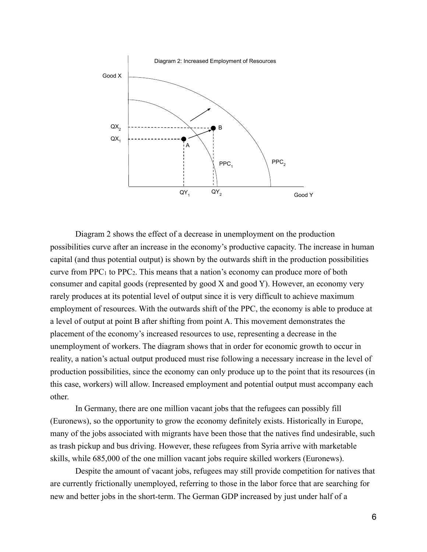

 Diagram 2 shows the effect of a decrease in unemployment on the production possibilities curve after an increase in the economy's productive capacity. The increase in human capital (and thus potential output) is shown by the outwards shift in the production possibilities curve from  $PPC_1$  to  $PPC_2$ . This means that a nation's economy can produce more of both consumer and capital goods (represented by good X and good Y). However, an economy very rarely produces at its potential level of output since it is very difficult to achieve maximum employment of resources. With the outwards shift of the PPC, the economy is able to produce at a level of output at point B after shifting from point A. This movement demonstrates the placement of the economy's increased resources to use, representing a decrease in the unemployment of workers. The diagram shows that in order for economic growth to occur in reality, a nation's actual output produced must rise following a necessary increase in the level of production possibilities, since the economy can only produce up to the point that its resources (in this case, workers) will allow. Increased employment and potential output must accompany each other.

 In Germany, there are one million vacant jobs that the refugees can possibly fill (Euronews), so the opportunity to grow the economy definitely exists. Historically in Europe, many of the jobs associated with migrants have been those that the natives find undesirable, such as trash pickup and bus driving. However, these refugees from Syria arrive with marketable skills, while 685,000 of the one million vacant jobs require skilled workers (Euronews).

 Despite the amount of vacant jobs, refugees may still provide competition for natives that are currently frictionally unemployed, referring to those in the labor force that are searching for new and better jobs in the short-term. The German GDP increased by just under half of a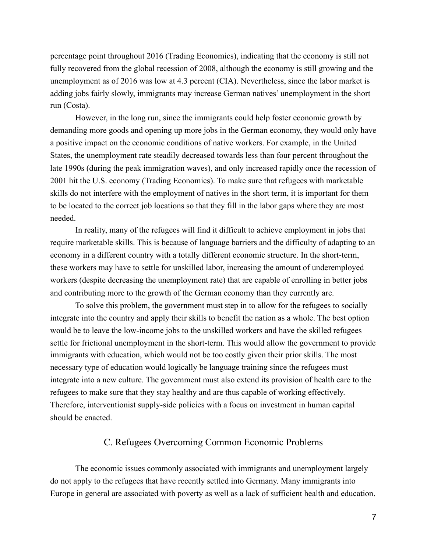percentage point throughout 2016 (Trading Economics), indicating that the economy is still not fully recovered from the global recession of 2008, although the economy is still growing and the unemployment as of 2016 was low at 4.3 percent (CIA). Nevertheless, since the labor market is adding jobs fairly slowly, immigrants may increase German natives' unemployment in the short run (Costa).

 However, in the long run, since the immigrants could help foster economic growth by demanding more goods and opening up more jobs in the German economy, they would only have a positive impact on the economic conditions of native workers. For example, in the United States, the unemployment rate steadily decreased towards less than four percent throughout the late 1990s (during the peak immigration waves), and only increased rapidly once the recession of 2001 hit the U.S. economy (Trading Economics). To make sure that refugees with marketable skills do not interfere with the employment of natives in the short term, it is important for them to be located to the correct job locations so that they fill in the labor gaps where they are most needed.

 In reality, many of the refugees will find it difficult to achieve employment in jobs that require marketable skills. This is because of language barriers and the difficulty of adapting to an economy in a different country with a totally different economic structure. In the short-term, these workers may have to settle for unskilled labor, increasing the amount of underemployed workers (despite decreasing the unemployment rate) that are capable of enrolling in better jobs and contributing more to the growth of the German economy than they currently are.

 To solve this problem, the government must step in to allow for the refugees to socially integrate into the country and apply their skills to benefit the nation as a whole. The best option would be to leave the low-income jobs to the unskilled workers and have the skilled refugees settle for frictional unemployment in the short-term. This would allow the government to provide immigrants with education, which would not be too costly given their prior skills. The most necessary type of education would logically be language training since the refugees must integrate into a new culture. The government must also extend its provision of health care to the refugees to make sure that they stay healthy and are thus capable of working effectively. Therefore, interventionist supply-side policies with a focus on investment in human capital should be enacted.

## <span id="page-6-0"></span>C. Refugees Overcoming Common Economic Problems

 The economic issues commonly associated with immigrants and unemployment largely do not apply to the refugees that have recently settled into Germany. Many immigrants into Europe in general are associated with poverty as well as a lack of sufficient health and education.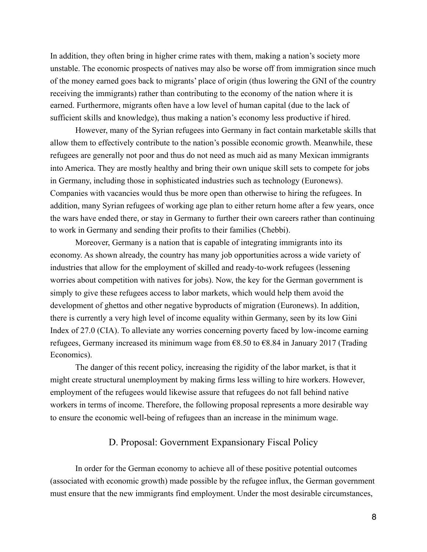In addition, they often bring in higher crime rates with them, making a nation's society more unstable. The economic prospects of natives may also be worse off from immigration since much of the money earned goes back to migrants' place of origin (thus lowering the GNI of the country receiving the immigrants) rather than contributing to the economy of the nation where it is earned. Furthermore, migrants often have a low level of human capital (due to the lack of sufficient skills and knowledge), thus making a nation's economy less productive if hired.

 However, many of the Syrian refugees into Germany in fact contain marketable skills that allow them to effectively contribute to the nation's possible economic growth. Meanwhile, these refugees are generally not poor and thus do not need as much aid as many Mexican immigrants into America. They are mostly healthy and bring their own unique skill sets to compete for jobs in Germany, including those in sophisticated industries such as technology (Euronews). Companies with vacancies would thus be more open than otherwise to hiring the refugees. In addition, many Syrian refugees of working age plan to either return home after a few years, once the wars have ended there, or stay in Germany to further their own careers rather than continuing to work in Germany and sending their profits to their families (Chebbi).

 Moreover, Germany is a nation that is capable of integrating immigrants into its economy. As shown already, the country has many job opportunities across a wide variety of industries that allow for the employment of skilled and ready-to-work refugees (lessening worries about competition with natives for jobs). Now, the key for the German government is simply to give these refugees access to labor markets, which would help them avoid the development of ghettos and other negative byproducts of migration (Euronews). In addition, there is currently a very high level of income equality within Germany, seen by its low Gini Index of 27.0 (CIA). To alleviate any worries concerning poverty faced by low-income earning refugees, Germany increased its minimum wage from  $\epsilon$ 8.50 to  $\epsilon$ 8.84 in January 2017 (Trading Economics).

 The danger of this recent policy, increasing the rigidity of the labor market, is that it might create structural unemployment by making firms less willing to hire workers. However, employment of the refugees would likewise assure that refugees do not fall behind native workers in terms of income. Therefore, the following proposal represents a more desirable way to ensure the economic well-being of refugees than an increase in the minimum wage.

## <span id="page-7-0"></span>D. Proposal: Government Expansionary Fiscal Policy

 In order for the German economy to achieve all of these positive potential outcomes (associated with economic growth) made possible by the refugee influx, the German government must ensure that the new immigrants find employment. Under the most desirable circumstances,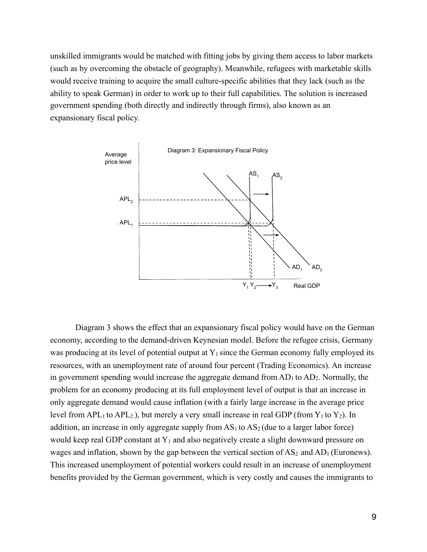unskilled immigrants would be matched with fitting jobs by giving them access to labor markets (such as by overcoming the obstacle of geography). Meanwhile, refugees with marketable skills would receive training to acquire the small culture-specific abilities that they lack (such as the ability to speak German) in order to work up to their full capabilities. The solution is increased government spending (both directly and indirectly through firms), also known as an expansionary fiscal policy.



 Diagram 3 shows the effect that an expansionary fiscal policy would have on the German economy, according to the demand-driven Keynesian model. Before the refugee crisis, Germany was producing at its level of potential output at  $Y_1$  since the German economy fully employed its resources, with an unemployment rate of around four percent (Trading Economics). An increase in government spending would increase the aggregate demand from  $AD_1$  to  $AD_2$ . Normally, the problem for an economy producing at its full employment level of output is that an increase in only aggregate demand would cause inflation (with a fairly large increase in the average price level from  $APL_1$  to  $APL_2$ ), but merely a very small increase in real GDP (from  $Y_1$  to  $Y_2$ ). In addition, an increase in only aggregate supply from  $AS_1$  to  $AS_2$  (due to a larger labor force) would keep real GDP constant at  $Y_1$  and also negatively create a slight downward pressure on wages and inflation, shown by the gap between the vertical section of  $AS_2$  and  $AD_1$  (Euronews). This increased unemployment of potential workers could result in an increase of unemployment benefits provided by the German government, which is very costly and causes the immigrants to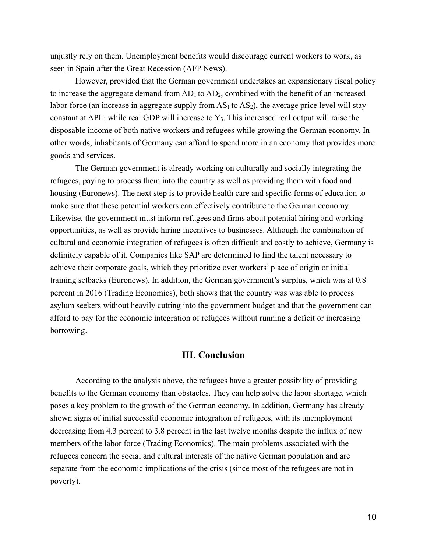unjustly rely on them. Unemployment benefits would discourage current workers to work, as seen in Spain after the Great Recession (AFP News).

 However, provided that the German government undertakes an expansionary fiscal policy to increase the aggregate demand from  $AD_1$  to  $AD_2$ , combined with the benefit of an increased labor force (an increase in aggregate supply from  $AS<sub>1</sub>$  to  $AS<sub>2</sub>$ ), the average price level will stay constant at  $APL<sub>1</sub>$  while real GDP will increase to Y<sub>3</sub>. This increased real output will raise the disposable income of both native workers and refugees while growing the German economy. In other words, inhabitants of Germany can afford to spend more in an economy that provides more goods and services.

 The German government is already working on culturally and socially integrating the refugees, paying to process them into the country as well as providing them with food and housing (Euronews). The next step is to provide health care and specific forms of education to make sure that these potential workers can effectively contribute to the German economy. Likewise, the government must inform refugees and firms about potential hiring and working opportunities, as well as provide hiring incentives to businesses. Although the combination of cultural and economic integration of refugees is often difficult and costly to achieve, Germany is definitely capable of it. Companies like SAP are determined to find the talent necessary to achieve their corporate goals, which they prioritize over workers' place of origin or initial training setbacks (Euronews). In addition, the German government's surplus, which was at 0.8 percent in 2016 (Trading Economics), both shows that the country was was able to process asylum seekers without heavily cutting into the government budget and that the government can afford to pay for the economic integration of refugees without running a deficit or increasing borrowing.

### <span id="page-9-0"></span>**III. Conclusion**

 According to the analysis above, the refugees have a greater possibility of providing benefits to the German economy than obstacles. They can help solve the labor shortage, which poses a key problem to the growth of the German economy. In addition, Germany has already shown signs of initial successful economic integration of refugees, with its unemployment decreasing from 4.3 percent to 3.8 percent in the last twelve months despite the influx of new members of the labor force (Trading Economics). The main problems associated with the refugees concern the social and cultural interests of the native German population and are separate from the economic implications of the crisis (since most of the refugees are not in poverty).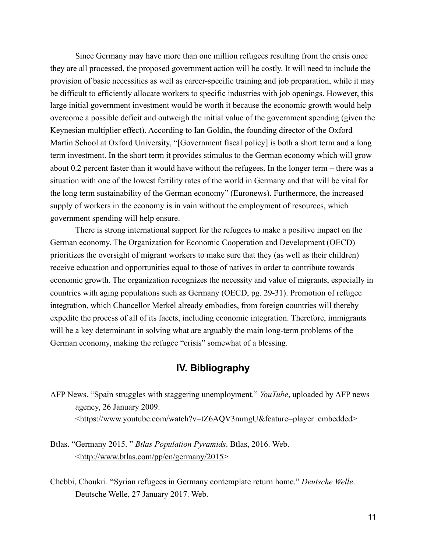Since Germany may have more than one million refugees resulting from the crisis once they are all processed, the proposed government action will be costly. It will need to include the provision of basic necessities as well as career-specific training and job preparation, while it may be difficult to efficiently allocate workers to specific industries with job openings. However, this large initial government investment would be worth it because the economic growth would help overcome a possible deficit and outweigh the initial value of the government spending (given the Keynesian multiplier effect). According to Ian Goldin, the founding director of the Oxford Martin School at Oxford University, "[Government fiscal policy] is both a short term and a long term investment. In the short term it provides stimulus to the German economy which will grow about 0.2 percent faster than it would have without the refugees. In the longer term – there was a situation with one of the lowest fertility rates of the world in Germany and that will be vital for the long term sustainability of the German economy" (Euronews). Furthermore, the increased supply of workers in the economy is in vain without the employment of resources, which government spending will help ensure.

 There is strong international support for the refugees to make a positive impact on the German economy. The Organization for Economic Cooperation and Development (OECD) prioritizes the oversight of migrant workers to make sure that they (as well as their children) receive education and opportunities equal to those of natives in order to contribute towards economic growth. The organization recognizes the necessity and value of migrants, especially in countries with aging populations such as Germany (OECD, pg. 29-31). Promotion of refugee integration, which Chancellor Merkel already embodies, from foreign countries will thereby expedite the process of all of its facets, including economic integration. Therefore, immigrants will be a key determinant in solving what are arguably the main long-term problems of the German economy, making the refugee "crisis" somewhat of a blessing.

## <span id="page-10-0"></span>**IV. Bibliography**

- AFP News. "Spain struggles with staggering unemployment." *YouTube*, uploaded by AFP news agency, 26 January 2009. <[https://www.youtube.com/watch?v=tZ6AQV3mmgU&feature=player\\_embedded](https://www.youtube.com/watch?v=tZ6AQV3mmgU&feature=player_embedded)>
- Btlas. "Germany 2015. " *Btlas Population Pyramids*. Btlas, 2016. Web. <[http://www.btlas.com/pp/en/germany/2015>](http://www.btlas.com/pp/en/germany/2015)
- Chebbi, Choukri. "Syrian refugees in Germany contemplate return home." *Deutsche Welle*. Deutsche Welle, 27 January 2017. Web.